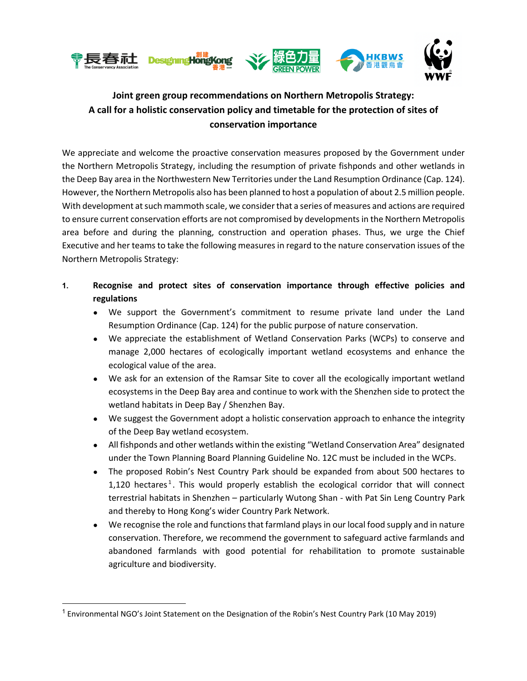

# **Joint green group recommendations on Northern Metropolis Strategy: A call for a holistic conservation policy and timetable for the protection of sites of conservation importance**

We appreciate and welcome the proactive conservation measures proposed by the Government under the Northern Metropolis Strategy, including the resumption of private fishponds and other wetlands in the Deep Bay area in the Northwestern New Territories under the Land Resumption Ordinance (Cap. 124). However, the Northern Metropolis also has been planned to host a population of about 2.5 million people. With development at such mammoth scale, we consider that a series of measures and actions are required to ensure current conservation efforts are not compromised by developments in the Northern Metropolis area before and during the planning, construction and operation phases. Thus, we urge the Chief Executive and her teams to take the following measures in regard to the nature conservation issues of the Northern Metropolis Strategy:

### **1. Recognise and protect sites of conservation importance through effective policies and regulations**

- We support the Government's commitment to resume private land under the Land Resumption Ordinance (Cap. 124) for the public purpose of nature conservation.
- We appreciate the establishment of Wetland Conservation Parks (WCPs) to conserve and manage 2,000 hectares of ecologically important wetland ecosystems and enhance the ecological value of the area.
- We ask for an extension of the Ramsar Site to cover all the ecologically important wetland ecosystems in the Deep Bay area and continue to work with the Shenzhen side to protect the wetland habitats in Deep Bay / Shenzhen Bay.
- We suggest the Government adopt a holistic conservation approach to enhance the integrity of the Deep Bay wetland ecosystem.
- All fishponds and other wetlands within the existing "Wetland Conservation Area" designated under the Town Planning Board Planning Guideline No. 12C must be included in the WCPs.
- The proposed Robin's Nest Country Park should be expanded from about 500 hectares to 1,120 hectares<sup>1</sup>. This would properly establish the ecological corridor that will connect terrestrial habitats in Shenzhen – particularly Wutong Shan - with Pat Sin Leng Country Park and thereby to Hong Kong's wider Country Park Network.
- We recognise the role and functions that farmland plays in our local food supply and in nature conservation. Therefore, we recommend the government to safeguard active farmlands and abandoned farmlands with good potential for rehabilitation to promote sustainable agriculture and biodiversity.

<sup>&</sup>lt;sup>1</sup> Environmental NGO's Joint Statement on the Designation of the Robin's Nest Country Park (10 May 2019)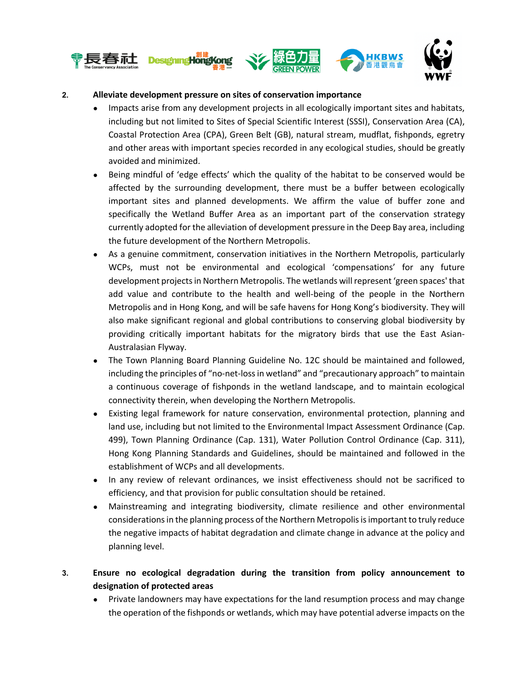

#### **2. Alleviate development pressure on sites of conservation importance**

- Impacts arise from any development projects in all ecologically important sites and habitats, including but not limited to Sites of Special Scientific Interest (SSSI), Conservation Area (CA), Coastal Protection Area (CPA), Green Belt (GB), natural stream, mudflat, fishponds, egretry and other areas with important species recorded in any ecological studies, should be greatly avoided and minimized.
- Being mindful of 'edge effects' which the quality of the habitat to be conserved would be affected by the surrounding development, there must be a buffer between ecologically important sites and planned developments. We affirm the value of buffer zone and specifically the Wetland Buffer Area as an important part of the conservation strategy currently adopted for the alleviation of development pressure in the Deep Bay area, including the future development of the Northern Metropolis.
- As a genuine commitment, conservation initiatives in the Northern Metropolis, particularly WCPs, must not be environmental and ecological 'compensations' for any future development projects in Northern Metropolis. The wetlands will represent 'green spaces' that add value and contribute to the health and well-being of the people in the Northern Metropolis and in Hong Kong, and will be safe havens for Hong Kong's biodiversity. They will also make significant regional and global contributions to conserving global biodiversity by providing critically important habitats for the migratory birds that use the East Asian-Australasian Flyway.
- The Town Planning Board Planning Guideline No. 12C should be maintained and followed, including the principles of "no-net-loss in wetland" and "precautionary approach" to maintain a continuous coverage of fishponds in the wetland landscape, and to maintain ecological connectivity therein, when developing the Northern Metropolis.
- Existing legal framework for nature conservation, environmental protection, planning and land use, including but not limited to the Environmental Impact Assessment Ordinance (Cap. 499), Town Planning Ordinance (Cap. 131), Water Pollution Control Ordinance (Cap. 311), Hong Kong Planning Standards and Guidelines, should be maintained and followed in the establishment of WCPs and all developments.
- In any review of relevant ordinances, we insist effectiveness should not be sacrificed to efficiency, and that provision for public consultation should be retained.
- Mainstreaming and integrating biodiversity, climate resilience and other environmental considerations in the planning process of the Northern Metropolis is important to truly reduce the negative impacts of habitat degradation and climate change in advance at the policy and planning level.

## **3. Ensure no ecological degradation during the transition from policy announcement to designation of protected areas**

Private landowners may have expectations for the land resumption process and may change the operation of the fishponds or wetlands, which may have potential adverse impacts on the